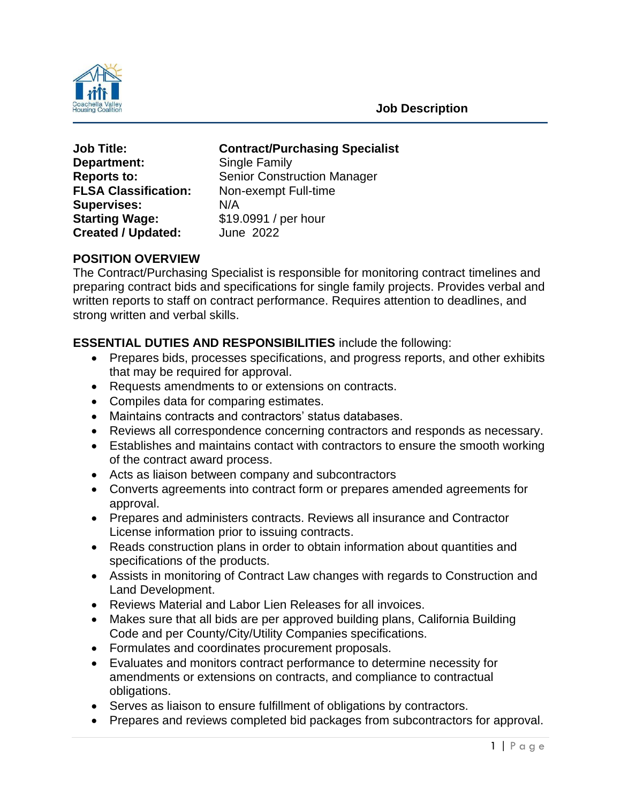

 **Job Description**

**Department:** Single Family **FLSA Classification:** Non-exempt Full-time **Supervises:** N/A **Starting Wage:** \$19.0991 / per hour **Created / Updated:** June 2022

**Job Title: Contract/Purchasing Specialist**

**Reports to:** Senior Construction Manager

# **POSITION OVERVIEW**

The Contract/Purchasing Specialist is responsible for monitoring contract timelines and preparing contract bids and specifications for single family projects. Provides verbal and written reports to staff on contract performance. Requires attention to deadlines, and strong written and verbal skills.

## **ESSENTIAL DUTIES AND RESPONSIBILITIES** include the following:

- Prepares bids, processes specifications, and progress reports, and other exhibits that may be required for approval.
- Requests amendments to or extensions on contracts.
- Compiles data for comparing estimates.
- Maintains contracts and contractors' status databases.
- Reviews all correspondence concerning contractors and responds as necessary.
- Establishes and maintains contact with contractors to ensure the smooth working of the contract award process.
- Acts as liaison between company and subcontractors
- Converts agreements into contract form or prepares amended agreements for approval.
- Prepares and administers contracts. Reviews all insurance and Contractor License information prior to issuing contracts.
- Reads construction plans in order to obtain information about quantities and specifications of the products.
- Assists in monitoring of Contract Law changes with regards to Construction and Land Development.
- Reviews Material and Labor Lien Releases for all invoices.
- Makes sure that all bids are per approved building plans, California Building Code and per County/City/Utility Companies specifications.
- Formulates and coordinates procurement proposals.
- Evaluates and monitors contract performance to determine necessity for amendments or extensions on contracts, and compliance to contractual obligations.
- Serves as liaison to ensure fulfillment of obligations by contractors.
- Prepares and reviews completed bid packages from subcontractors for approval.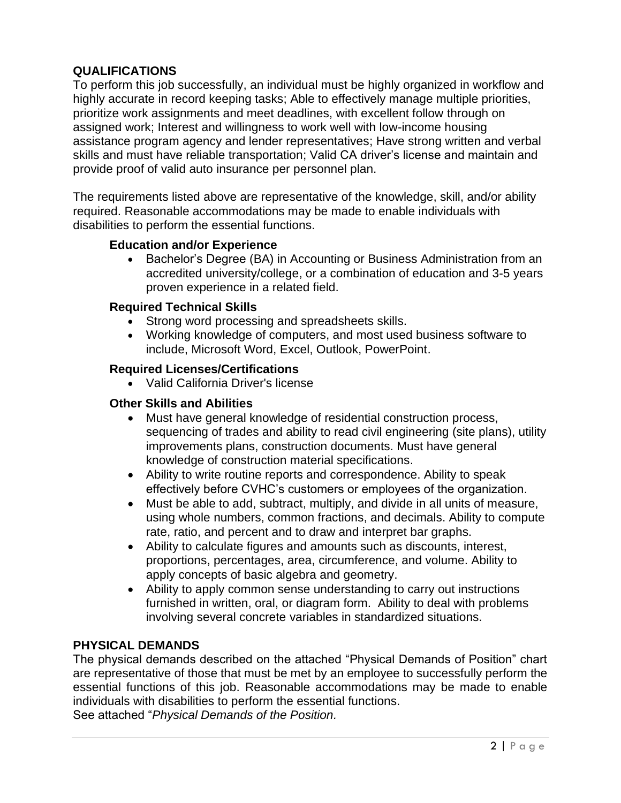## **QUALIFICATIONS**

To perform this job successfully, an individual must be highly organized in workflow and highly accurate in record keeping tasks; Able to effectively manage multiple priorities, prioritize work assignments and meet deadlines, with excellent follow through on assigned work; Interest and willingness to work well with low-income housing assistance program agency and lender representatives; Have strong written and verbal skills and must have reliable transportation; Valid CA driver's license and maintain and provide proof of valid auto insurance per personnel plan.

The requirements listed above are representative of the knowledge, skill, and/or ability required. Reasonable accommodations may be made to enable individuals with disabilities to perform the essential functions.

#### **Education and/or Experience**

• Bachelor's Degree (BA) in Accounting or Business Administration from an accredited university/college, or a combination of education and 3-5 years proven experience in a related field.

#### **Required Technical Skills**

- Strong word processing and spreadsheets skills.
- Working knowledge of computers, and most used business software to include, Microsoft Word, Excel, Outlook, PowerPoint.

#### **Required Licenses/Certifications**

• Valid California Driver's license

### **Other Skills and Abilities**

- Must have general knowledge of residential construction process, sequencing of trades and ability to read civil engineering (site plans), utility improvements plans, construction documents. Must have general knowledge of construction material specifications.
- Ability to write routine reports and correspondence. Ability to speak effectively before CVHC's customers or employees of the organization.
- Must be able to add, subtract, multiply, and divide in all units of measure, using whole numbers, common fractions, and decimals. Ability to compute rate, ratio, and percent and to draw and interpret bar graphs.
- Ability to calculate figures and amounts such as discounts, interest, proportions, percentages, area, circumference, and volume. Ability to apply concepts of basic algebra and geometry.
- Ability to apply common sense understanding to carry out instructions furnished in written, oral, or diagram form. Ability to deal with problems involving several concrete variables in standardized situations.

#### **PHYSICAL DEMANDS**

The physical demands described on the attached "Physical Demands of Position" chart are representative of those that must be met by an employee to successfully perform the essential functions of this job. Reasonable accommodations may be made to enable individuals with disabilities to perform the essential functions. See attached "*Physical Demands of the Position.*